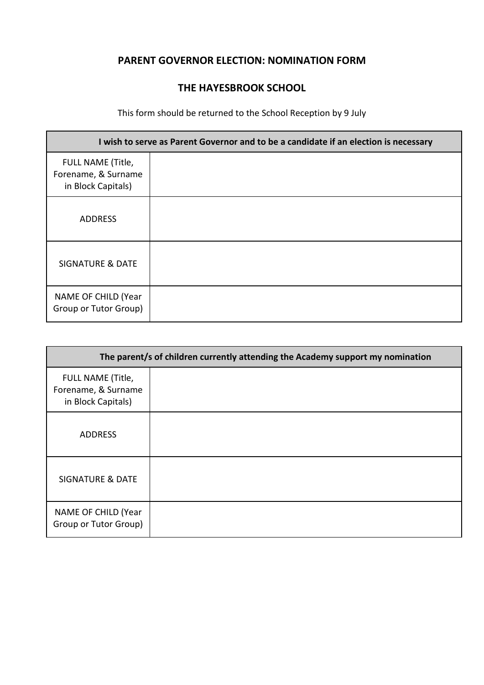## **PARENT GOVERNOR ELECTION: NOMINATION FORM**

## **THE HAYESBROOK SCHOOL**

## This form should be returned to the School Reception by 9 July

| I wish to serve as Parent Governor and to be a candidate if an election is necessary |  |  |
|--------------------------------------------------------------------------------------|--|--|
| FULL NAME (Title,<br>Forename, & Surname<br>in Block Capitals)                       |  |  |
| <b>ADDRESS</b>                                                                       |  |  |
| <b>SIGNATURE &amp; DATE</b>                                                          |  |  |
| NAME OF CHILD (Year<br>Group or Tutor Group)                                         |  |  |

| The parent/s of children currently attending the Academy support my nomination |  |  |
|--------------------------------------------------------------------------------|--|--|
| FULL NAME (Title,<br>Forename, & Surname<br>in Block Capitals)                 |  |  |
| <b>ADDRESS</b>                                                                 |  |  |
| <b>SIGNATURE &amp; DATE</b>                                                    |  |  |
| NAME OF CHILD (Year<br>Group or Tutor Group)                                   |  |  |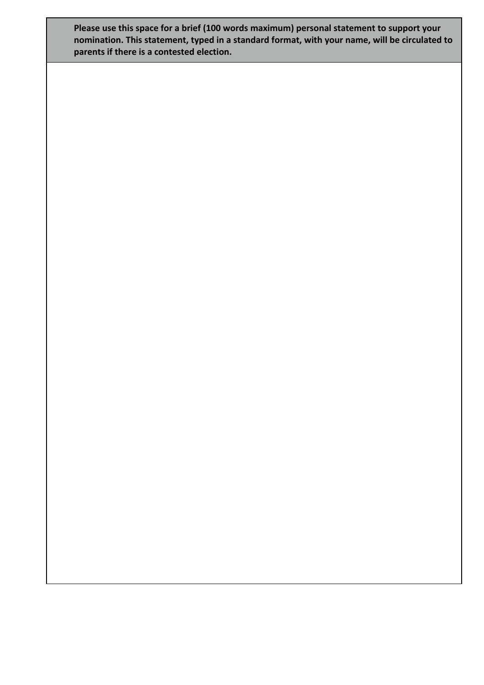**Please use this space for a brief (100 words maximum) personal statement to support your nomination. This statement, typed in a standard format, with your name, will be circulated to parents if there is a contested election.**